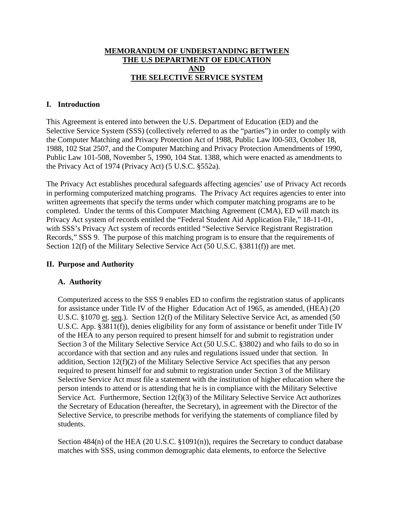### **MEMORANDUM OF UNDERSTANDING BETWEEN THE U.S DEPARTMENT OF EDUCATION AND THE SELECTIVE SERVICE SYSTEM**

### **I. Introduction**

This Agreement is entered into between the U.S. Department of Education (ED) and the Selective Service System (SSS) (collectively referred to as the "parties") in order to comply with the Computer Matching and Privacy Protection Act of 1988, Public Law l00-503, October 18, 1988, 102 Stat 2507, and the Computer Matching and Privacy Protection Amendments of 1990, Public Law 101-508, November 5, 1990, 104 Stat. 1388, which were enacted as amendments to the Privacy Act of 1974 (Privacy Act) (5 U.S.C. §552a).

The Privacy Act establishes procedural safeguards affecting agencies' use of Privacy Act records in performing computerized matching programs. The Privacy Act requires agencies to enter into written agreements that specify the terms under which computer matching programs are to be completed. Under the terms of this Computer Matching Agreement (CMA), ED will match its Privacy Act system of records entitled the "Federal Student Aid Application File," 18-11-01, with SSS's Privacy Act system of records entitled "Selective Service Registrant Registration Records," SSS 9. The purpose of this matching program is to ensure that the requirements of Section 12(f) of the Military Selective Service Act (50 U.S.C. §3811(f)) are met.

#### **II. Purpose and Authority**

#### **A. Authority**

Computerized access to the SSS 9 enables ED to confirm the registration status of applicants for assistance under Title IV of the Higher Education Act of 1965, as amended, (HEA) (20 U.S.C. §1070 et. seq.). Section 12(f) of the Military Selective Service Act, as amended (50 U.S.C. App. §3811(f)), denies eligibility for any form of assistance or benefit under Title IV of the HEA to any person required to present himself for and submit to registration under Section 3 of the Military Selective Service Act (50 U.S.C. §3802) and who fails to do so in accordance with that section and any rules and regulations issued under that section. In addition, Section 12(f)(2) of the Military Selective Service Act specifies that any person required to present himself for and submit to registration under Section 3 of the Military Selective Service Act must file a statement with the institution of higher education where the person intends to attend or is attending that he is in compliance with the Military Selective Service Act. Furthermore, Section 12(f)(3) of the Military Selective Service Act authorizes the Secretary of Education (hereafter, the Secretary), in agreement with the Director of the Selective Service, to prescribe methods for verifying the statements of compliance filed by students.

Section 484(n) of the HEA (20 U.S.C. §1091(n)), requires the Secretary to conduct database matches with SSS, using common demographic data elements, to enforce the Selective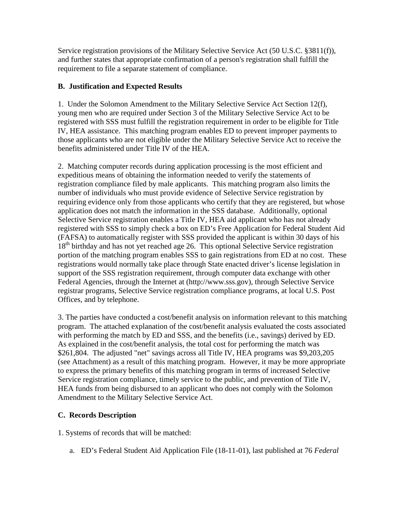Service registration provisions of the Military Selective Service Act (50 U.S.C. §3811(f)), and further states that appropriate confirmation of a person's registration shall fulfill the requirement to file a separate statement of compliance.

## **B. Justification and Expected Results**

1. Under the Solomon Amendment to the Military Selective Service Act Section 12(f), young men who are required under Section 3 of the Military Selective Service Act to be registered with SSS must fulfill the registration requirement in order to be eligible for Title IV, HEA assistance. This matching program enables ED to prevent improper payments to those applicants who are not eligible under the Military Selective Service Act to receive the benefits administered under Title IV of the HEA.

2. Matching computer records during application processing is the most efficient and expeditious means of obtaining the information needed to verify the statements of registration compliance filed by male applicants. This matching program also limits the number of individuals who must provide evidence of Selective Service registration by requiring evidence only from those applicants who certify that they are registered, but whose application does not match the information in the SSS database. Additionally, optional Selective Service registration enables a Title IV, HEA aid applicant who has not already registered with SSS to simply check a box on ED's Free Application for Federal Student Aid (FAFSA) to automatically register with SSS provided the applicant is within 30 days of his 18<sup>th</sup> birthday and has not yet reached age 26. This optional Selective Service registration portion of the matching program enables SSS to gain registrations from ED at no cost. These registrations would normally take place through State enacted driver's license legislation in support of the SSS registration requirement, through computer data exchange with other Federal Agencies, through the Internet at (http://www.sss.gov), through Selective Service registrar programs, Selective Service registration compliance programs, at local U.S. Post Offices, and by telephone.

3. The parties have conducted a cost/benefit analysis on information relevant to this matching program. The attached explanation of the cost/benefit analysis evaluated the costs associated with performing the match by ED and SSS, and the benefits (i.e., savings) derived by ED. As explained in the cost/benefit analysis, the total cost for performing the match was \$261,804. The adjusted "net" savings across all Title IV, HEA programs was \$9,203,205 (see Attachment) as a result of this matching program. However, it may be more appropriate to express the primary benefits of this matching program in terms of increased Selective Service registration compliance, timely service to the public, and prevention of Title IV, HEA funds from being disbursed to an applicant who does not comply with the Solomon Amendment to the Military Selective Service Act.

## **C. Records Description**

1. Systems of records that will be matched:

a. ED's Federal Student Aid Application File (18-11-01), last published at 76 *Federal*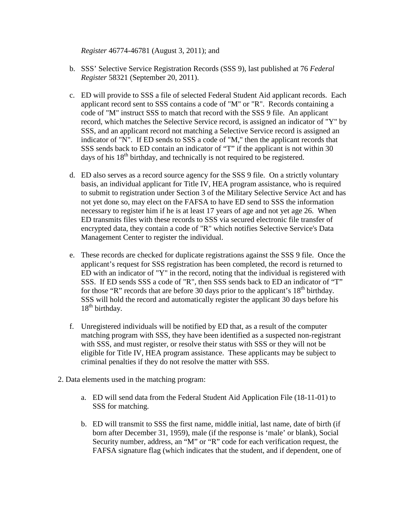*Register* 46774-46781 (August 3, 2011); and

- b. SSS' Selective Service Registration Records (SSS 9), last published at 76 *Federal Register* 58321 (September 20, 2011).
- c. ED will provide to SSS a file of selected Federal Student Aid applicant records. Each applicant record sent to SSS contains a code of "M" or "R". Records containing a code of "M" instruct SSS to match that record with the SSS 9 file. An applicant record, which matches the Selective Service record, is assigned an indicator of "Y" by SSS, and an applicant record not matching a Selective Service record is assigned an indicator of "N". If ED sends to SSS a code of "M," then the applicant records that SSS sends back to ED contain an indicator of "T" if the applicant is not within 30 days of his  $18<sup>th</sup>$  birthday, and technically is not required to be registered.
- d. ED also serves as a record source agency for the SSS 9 file. On a strictly voluntary basis, an individual applicant for Title IV, HEA program assistance, who is required to submit to registration under Section 3 of the Military Selective Service Act and has not yet done so, may elect on the FAFSA to have ED send to SSS the information necessary to register him if he is at least 17 years of age and not yet age 26. When ED transmits files with these records to SSS via secured electronic file transfer of encrypted data, they contain a code of "R" which notifies Selective Service's Data Management Center to register the individual.
- e. These records are checked for duplicate registrations against the SSS 9 file. Once the applicant's request for SSS registration has been completed, the record is returned to ED with an indicator of "Y" in the record, noting that the individual is registered with SSS. If ED sends SSS a code of "R", then SSS sends back to ED an indicator of "T" for those "R" records that are before 30 days prior to the applicant's  $18<sup>th</sup>$  birthday. SSS will hold the record and automatically register the applicant 30 days before his  $18<sup>th</sup>$  birthday.
- f. Unregistered individuals will be notified by ED that, as a result of the computer matching program with SSS, they have been identified as a suspected non-registrant with SSS, and must register, or resolve their status with SSS or they will not be eligible for Title IV, HEA program assistance. These applicants may be subject to criminal penalties if they do not resolve the matter with SSS.
- 2. Data elements used in the matching program:
	- a. ED will send data from the Federal Student Aid Application File (18-11-01) to SSS for matching.
	- b. ED will transmit to SSS the first name, middle initial, last name, date of birth (if born after December 31, 1959), male (if the response is 'male' or blank), Social Security number, address, an "M" or "R" code for each verification request, the FAFSA signature flag (which indicates that the student, and if dependent, one of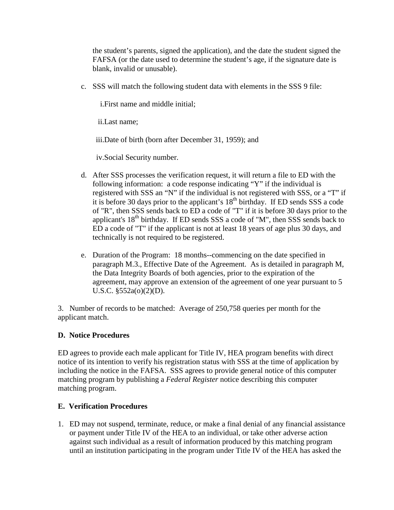the student's parents, signed the application), and the date the student signed the FAFSA (or the date used to determine the student's age, if the signature date is blank, invalid or unusable).

c. SSS will match the following student data with elements in the SSS 9 file:

i.First name and middle initial;

ii.Last name;

iii.Date of birth (born after December 31, 1959); and

iv.Social Security number.

- d. After SSS processes the verification request, it will return a file to ED with the following information: a code response indicating "Y" if the individual is registered with SSS an "N" if the individual is not registered with SSS, or a "T" if it is before 30 days prior to the applicant's 18<sup>th</sup> birthday. If ED sends SSS a code of "R", then SSS sends back to ED a code of "T" if it is before 30 days prior to the applicant's  $18<sup>th</sup>$  birthday. If ED sends SSS a code of "M", then SSS sends back to ED a code of "T" if the applicant is not at least 18 years of age plus 30 days, and technically is not required to be registered.
- e. Duration of the Program: 18 months--commencing on the date specified in paragraph M.3., Effective Date of the Agreement. As is detailed in paragraph M, the Data Integrity Boards of both agencies, prior to the expiration of the agreement, may approve an extension of the agreement of one year pursuant to 5 U.S.C. §552a(o)(2)(D).

3. Number of records to be matched: Average of 250,758 queries per month for the applicant match.

## **D. Notice Procedures**

ED agrees to provide each male applicant for Title IV, HEA program benefits with direct notice of its intention to verify his registration status with SSS at the time of application by including the notice in the FAFSA. SSS agrees to provide general notice of this computer matching program by publishing a *Federal Register* notice describing this computer matching program.

#### **E. Verification Procedures**

1. ED may not suspend, terminate, reduce, or make a final denial of any financial assistance or payment under Title IV of the HEA to an individual, or take other adverse action against such individual as a result of information produced by this matching program until an institution participating in the program under Title IV of the HEA has asked the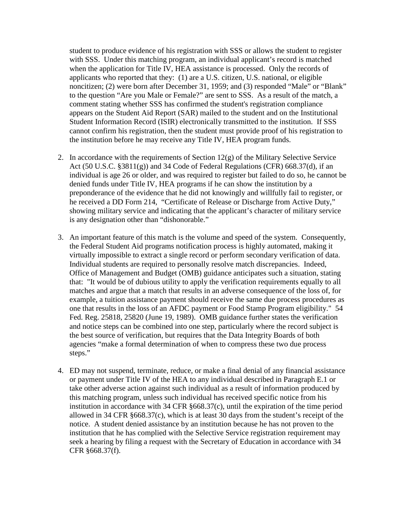student to produce evidence of his registration with SSS or allows the student to register with SSS. Under this matching program, an individual applicant's record is matched when the application for Title IV, HEA assistance is processed. Only the records of applicants who reported that they: (1) are a U.S. citizen, U.S. national, or eligible noncitizen; (2) were born after December 31, 1959; and (3) responded "Male" or "Blank" to the question "Are you Male or Female?" are sent to SSS. As a result of the match, a comment stating whether SSS has confirmed the student's registration compliance appears on the Student Aid Report (SAR) mailed to the student and on the Institutional Student Information Record (ISIR) electronically transmitted to the institution. If SSS cannot confirm his registration, then the student must provide proof of his registration to the institution before he may receive any Title IV, HEA program funds.

- 2. In accordance with the requirements of Section  $12(g)$  of the Military Selective Service Act (50 U.S.C. §3811(g)) and 34 Code of Federal Regulations (CFR) 668.37(d), if an individual is age 26 or older, and was required to register but failed to do so, he cannot be denied funds under Title IV, HEA programs if he can show the institution by a preponderance of the evidence that he did not knowingly and willfully fail to register, or he received a DD Form 214, "Certificate of Release or Discharge from Active Duty," showing military service and indicating that the applicant's character of military service is any designation other than "dishonorable."
- 3. An important feature of this match is the volume and speed of the system. Consequently, the Federal Student Aid programs notification process is highly automated, making it virtually impossible to extract a single record or perform secondary verification of data. Individual students are required to personally resolve match discrepancies. Indeed, Office of Management and Budget (OMB) guidance anticipates such a situation, stating that: "It would be of dubious utility to apply the verification requirements equally to all matches and argue that a match that results in an adverse consequence of the loss of, for example, a tuition assistance payment should receive the same due process procedures as one that results in the loss of an AFDC payment or Food Stamp Program eligibility." 54 Fed. Reg. 25818, 25820 (June 19, 1989). OMB guidance further states the verification and notice steps can be combined into one step, particularly where the record subject is the best source of verification, but requires that the Data Integrity Boards of both agencies "make a formal determination of when to compress these two due process steps."
- 4. ED may not suspend, terminate, reduce, or make a final denial of any financial assistance or payment under Title IV of the HEA to any individual described in Paragraph E.1 or take other adverse action against such individual as a result of information produced by this matching program, unless such individual has received specific notice from his institution in accordance with 34 CFR §668.37(c), until the expiration of the time period allowed in 34 CFR §668.37(c), which is at least 30 days from the student's receipt of the notice. A student denied assistance by an institution because he has not proven to the institution that he has complied with the Selective Service registration requirement may seek a hearing by filing a request with the Secretary of Education in accordance with 34 CFR §668.37(f).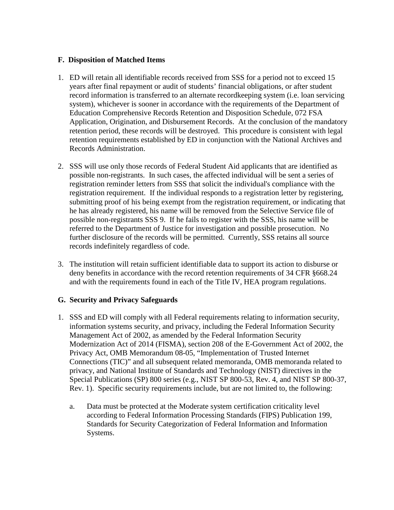### **F. Disposition of Matched Items**

- 1. ED will retain all identifiable records received from SSS for a period not to exceed 15 years after final repayment or audit of students' financial obligations, or after student record information is transferred to an alternate recordkeeping system (i.e. loan servicing system), whichever is sooner in accordance with the requirements of the Department of Education Comprehensive Records Retention and Disposition Schedule, 072 FSA Application, Origination, and Disbursement Records. At the conclusion of the mandatory retention period, these records will be destroyed. This procedure is consistent with legal retention requirements established by ED in conjunction with the National Archives and Records Administration.
- 2. SSS will use only those records of Federal Student Aid applicants that are identified as possible non-registrants. In such cases, the affected individual will be sent a series of registration reminder letters from SSS that solicit the individual's compliance with the registration requirement. If the individual responds to a registration letter by registering, submitting proof of his being exempt from the registration requirement, or indicating that he has already registered, his name will be removed from the Selective Service file of possible non-registrants SSS 9. If he fails to register with the SSS, his name will be referred to the Department of Justice for investigation and possible prosecution. No further disclosure of the records will be permitted. Currently, SSS retains all source records indefinitely regardless of code.
- 3. The institution will retain sufficient identifiable data to support its action to disburse or deny benefits in accordance with the record retention requirements of 34 CFR §668.24 and with the requirements found in each of the Title IV, HEA program regulations.

## **G. Security and Privacy Safeguards**

- 1. SSS and ED will comply with all Federal requirements relating to information security, information systems security, and privacy, including the Federal Information Security Management Act of 2002, as amended by the Federal Information Security Modernization Act of 2014 (FISMA), section 208 of the E-Government Act of 2002, the Privacy Act, OMB Memorandum 08-05, "Implementation of Trusted Internet Connections (TIC)" and all subsequent related memoranda, OMB memoranda related to privacy, and National Institute of Standards and Technology (NIST) directives in the Special Publications (SP) 800 series (e.g., NIST SP 800-53, Rev. 4, and NIST SP 800-37, Rev. 1). Specific security requirements include, but are not limited to, the following:
	- a. Data must be protected at the Moderate system certification criticality level according to Federal Information Processing Standards (FIPS) Publication 199, Standards for Security Categorization of Federal Information and Information Systems.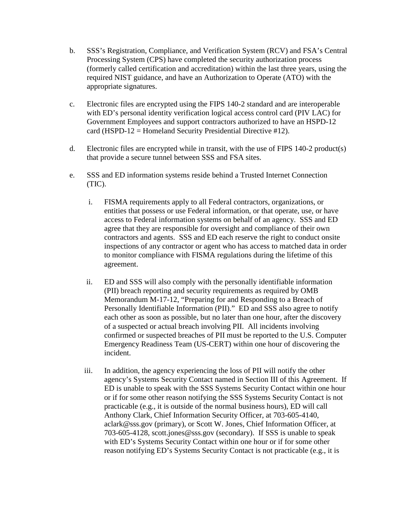- b. SSS's Registration, Compliance, and Verification System (RCV) and FSA's Central Processing System (CPS) have completed the security authorization process (formerly called certification and accreditation) within the last three years, using the required NIST guidance, and have an Authorization to Operate (ATO) with the appropriate signatures.
- c. Electronic files are encrypted using the FIPS 140-2 standard and are interoperable with ED's personal identity verification logical access control card (PIV LAC) for Government Employees and support contractors authorized to have an HSPD-12 card (HSPD-12 = Homeland Security Presidential Directive #12).
- d. Electronic files are encrypted while in transit, with the use of FIPS 140-2 product(s) that provide a secure tunnel between SSS and FSA sites.
- e. SSS and ED information systems reside behind a Trusted Internet Connection (TIC).
	- i. FISMA requirements apply to all Federal contractors, organizations, or entities that possess or use Federal information, or that operate, use, or have access to Federal information systems on behalf of an agency. SSS and ED agree that they are responsible for oversight and compliance of their own contractors and agents. SSS and ED each reserve the right to conduct onsite inspections of any contractor or agent who has access to matched data in order to monitor compliance with FISMA regulations during the lifetime of this agreement.
	- ii. ED and SSS will also comply with the personally identifiable information (PII) breach reporting and security requirements as required by OMB Memorandum M-17-12, "Preparing for and Responding to a Breach of Personally Identifiable Information (PII)." ED and SSS also agree to notify each other as soon as possible, but no later than one hour, after the discovery of a suspected or actual breach involving PII. All incidents involving confirmed or suspected breaches of PII must be reported to the U.S. Computer Emergency Readiness Team (US-CERT) within one hour of discovering the incident.
	- iii. In addition, the agency experiencing the loss of PII will notify the other agency's Systems Security Contact named in Section III of this Agreement. If ED is unable to speak with the SSS Systems Security Contact within one hour or if for some other reason notifying the SSS Systems Security Contact is not practicable (e.g., it is outside of the normal business hours), ED will call Anthony Clark, Chief Information Security Officer, at 703-605-4140, aclark@sss.gov (primary), or Scott W. Jones, Chief Information Officer, at 703-605-4128, scott.jones@sss.gov (secondary). If SSS is unable to speak with ED's Systems Security Contact within one hour or if for some other reason notifying ED's Systems Security Contact is not practicable (e.g., it is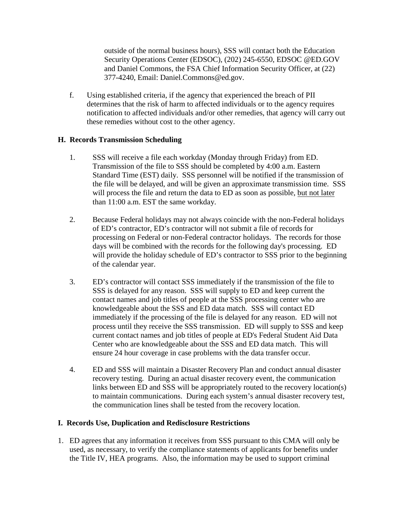outside of the normal business hours), SSS will contact both the Education Security Operations Center (EDSOC), (202) 245-6550, EDSOC @ED.GOV and Daniel Commons, the FSA Chief Information Security Officer, at (22) 377-4240, Email: Daniel.Commons@ed.gov.

f. Using established criteria, if the agency that experienced the breach of PII determines that the risk of harm to affected individuals or to the agency requires notification to affected individuals and/or other remedies, that agency will carry out these remedies without cost to the other agency.

## **H. Records Transmission Scheduling**

- 1. SSS will receive a file each workday (Monday through Friday) from ED. Transmission of the file to SSS should be completed by 4:00 a.m. Eastern Standard Time (EST) daily. SSS personnel will be notified if the transmission of the file will be delayed, and will be given an approximate transmission time. SSS will process the file and return the data to ED as soon as possible, but not later than 11:00 a.m. EST the same workday.
- 2. Because Federal holidays may not always coincide with the non-Federal holidays of ED's contractor, ED's contractor will not submit a file of records for processing on Federal or non-Federal contractor holidays. The records for those days will be combined with the records for the following day's processing. ED will provide the holiday schedule of ED's contractor to SSS prior to the beginning of the calendar year.
- 3. ED's contractor will contact SSS immediately if the transmission of the file to SSS is delayed for any reason. SSS will supply to ED and keep current the contact names and job titles of people at the SSS processing center who are knowledgeable about the SSS and ED data match. SSS will contact ED immediately if the processing of the file is delayed for any reason. ED will not process until they receive the SSS transmission. ED will supply to SSS and keep current contact names and job titles of people at ED's Federal Student Aid Data Center who are knowledgeable about the SSS and ED data match. This will ensure 24 hour coverage in case problems with the data transfer occur.
- 4. ED and SSS will maintain a Disaster Recovery Plan and conduct annual disaster recovery testing. During an actual disaster recovery event, the communication links between ED and SSS will be appropriately routed to the recovery location(s) to maintain communications. During each system's annual disaster recovery test, the communication lines shall be tested from the recovery location.

## **I. Records Use, Duplication and Redisclosure Restrictions**

1. ED agrees that any information it receives from SSS pursuant to this CMA will only be used, as necessary, to verify the compliance statements of applicants for benefits under the Title IV, HEA programs. Also, the information may be used to support criminal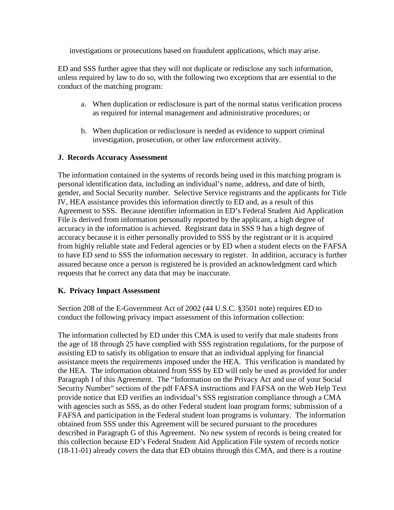investigations or prosecutions based on fraudulent applications, which may arise.

ED and SSS further agree that they will not duplicate or redisclose any such information, unless required by law to do so, with the following two exceptions that are essential to the conduct of the matching program:

- a. When duplication or redisclosure is part of the normal status verification process as required for internal management and administrative procedures; or
- b. When duplication or redisclosure is needed as evidence to support criminal investigation, prosecution, or other law enforcement activity.

### **J. Records Accuracy Assessment**

The information contained in the systems of records being used in this matching program is personal identification data, including an individual's name, address, and date of birth, gender, and Social Security number. Selective Service registrants and the applicants for Title IV, HEA assistance provides this information directly to ED and, as a result of this Agreement to SSS. Because identifier information in ED's Federal Student Aid Application File is derived from information personally reported by the applicant, a high degree of accuracy in the information is achieved. Registrant data in SSS 9 has a high degree of accuracy because it is either personally provided to SSS by the registrant or it is acquired from highly reliable state and Federal agencies or by ED when a student elects on the FAFSA to have ED send to SSS the information necessary to register. In addition, accuracy is further assured because once a person is registered he is provided an acknowledgment card which requests that he correct any data that may be inaccurate.

## **K. Privacy Impact Assessment**

Section 208 of the E-Government Act of 2002 (44 U.S.C. §3501 note) requires ED to conduct the following privacy impact assessment of this information collection:

The information collected by ED under this CMA is used to verify that male students from the age of 18 through 25 have complied with SSS registration regulations, for the purpose of assisting ED to satisfy its obligation to ensure that an individual applying for financial assistance meets the requirements imposed under the HEA. This verification is mandated by the HEA. The information obtained from SSS by ED will only be used as provided for under Paragraph I of this Agreement. The "Information on the Privacy Act and use of your Social Security Number" sections of the pdf FAFSA instructions and FAFSA on the Web Help Text provide notice that ED verifies an individual's SSS registration compliance through a CMA with agencies such as SSS, as do other Federal student loan program forms; submission of a FAFSA and participation in the Federal student loan programs is voluntary. The information obtained from SSS under this Agreement will be secured pursuant to the procedures described in Paragraph G of this Agreement. No new system of records is being created for this collection because ED's Federal Student Aid Application File system of records notice (18-11-01) already covers the data that ED obtains through this CMA, and there is a routine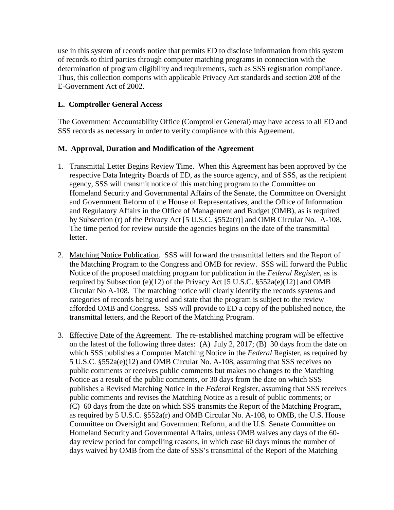use in this system of records notice that permits ED to disclose information from this system of records to third parties through computer matching programs in connection with the determination of program eligibility and requirements, such as SSS registration compliance. Thus, this collection comports with applicable Privacy Act standards and section 208 of the E-Government Act of 2002.

# **L. Comptroller General Access**

The Government Accountability Office (Comptroller General) may have access to all ED and SSS records as necessary in order to verify compliance with this Agreement.

## **M. Approval, Duration and Modification of the Agreement**

- 1. Transmittal Letter Begins Review Time. When this Agreement has been approved by the respective Data Integrity Boards of ED, as the source agency, and of SSS, as the recipient agency, SSS will transmit notice of this matching program to the Committee on Homeland Security and Governmental Affairs of the Senate, the Committee on Oversight and Government Reform of the House of Representatives, and the Office of Information and Regulatory Affairs in the Office of Management and Budget (OMB), as is required by Subsection (r) of the Privacy Act [5 U.S.C. §552a(r)] and OMB Circular No. A-108. The time period for review outside the agencies begins on the date of the transmittal letter.
- 2. Matching Notice Publication. SSS will forward the transmittal letters and the Report of the Matching Program to the Congress and OMB for review. SSS will forward the Public Notice of the proposed matching program for publication in the *Federal Register*, as is required by Subsection (e)(12) of the Privacy Act [5 U.S.C.  $\S 552a(e)(12)$ ] and OMB Circular No A-108. The matching notice will clearly identify the records systems and categories of records being used and state that the program is subject to the review afforded OMB and Congress. SSS will provide to ED a copy of the published notice, the transmittal letters, and the Report of the Matching Program.
- 3. Effective Date of the Agreement. The re-established matching program will be effective on the latest of the following three dates: (A) July 2, 2017; (B) 30 days from the date on which SSS publishes a Computer Matching Notice in the *Federal* Register, as required by 5 U.S.C. §552a(e)(12) and OMB Circular No. A-108, assuming that SSS receives no public comments or receives public comments but makes no changes to the Matching Notice as a result of the public comments, or 30 days from the date on which SSS publishes a Revised Matching Notice in the *Federal* Register, assuming that SSS receives public comments and revises the Matching Notice as a result of public comments; or (C) 60 days from the date on which SSS transmits the Report of the Matching Program, as required by 5 U.S.C. §552a(r) and OMB Circular No. A-108, to OMB, the U.S. House Committee on Oversight and Government Reform, and the U.S. Senate Committee on Homeland Security and Governmental Affairs, unless OMB waives any days of the 60 day review period for compelling reasons, in which case 60 days minus the number of days waived by OMB from the date of SSS's transmittal of the Report of the Matching